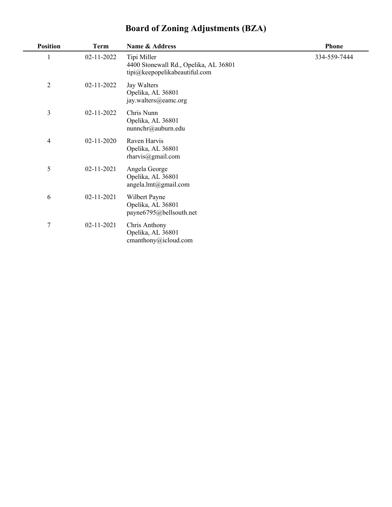| <b>Board of Zoning Adjustments (BZA)</b> |  |
|------------------------------------------|--|
|                                          |  |

| <b>Position</b> | <b>Term</b> | Name & Address                                                                        | <b>Phone</b> |
|-----------------|-------------|---------------------------------------------------------------------------------------|--------------|
| $\mathbf{1}$    | 02-11-2022  | Tipi Miller<br>4400 Stonewall Rd., Opelika, AL 36801<br>tipi@keepopelikabeautiful.com | 334-559-7444 |
| $\overline{2}$  | 02-11-2022  | Jay Walters<br>Opelika, AL 36801<br>jay.walters@eamc.org                              |              |
| 3               | 02-11-2022  | Chris Nunn<br>Opelika, AL 36801<br>nunnchr@auburn.edu                                 |              |
| 4               | 02-11-2020  | Raven Harvis<br>Opelika, AL 36801<br>$r$ harvis@gmail.com                             |              |
| 5               | 02-11-2021  | Angela George<br>Opelika, AL 36801<br>angela.lmt@gmail.com                            |              |
| 6               | 02-11-2021  | Wilbert Payne<br>Opelika, AL 36801<br>payne6795@bellsouth.net                         |              |
| $\overline{7}$  | 02-11-2021  | Chris Anthony<br>Opelika, AL 36801<br>$c$ manthony@icloud.com                         |              |